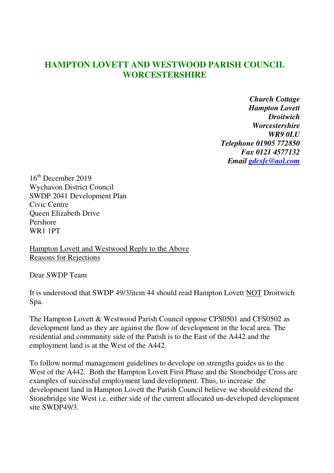## **HAMPTON LOVETT AND WESTWOOD PARISH COUNCIL WORCESTERSHIRE**

 *Church Cottage Hampton Lovett Droitwich Worcestershire WR9 0LU Telephone 01905 772850 Fax 0121 4577132 Email gdcsfc@aol.com*

16th December 2019 Wychavon District Council SWDP 2041 Development Plan Civic Centre Queen Elizabeth Drive Pershore WR1 1PT

Hampton Lovett and Westwood Reply to the Above Reasons for Rejections

Dear SWDP Team

It is understood that SWDP 49/3/item 44 should read Hampton Lovett NOT Droitwich Spa.

The Hampton Lovett & Westwood Parish Council oppose CFS0501 and CFS0502 as development land as they are against the flow of development in the local area. The residential and community side of the Parish is to the East of the A442 and the employment land is at the West of the A442.

To follow normal management guidelines to develope on strengths guides us to the West of the A442. Both the Hampton Lovett First Phase and the Stonebridge Cross are examples of successful employment land development. Thus, to increase the development land in Hampton Lovett the Parish Council believe we should extend the Stonebridge site West i.e. either side of the current allocated un-developed development site SWDP49/3.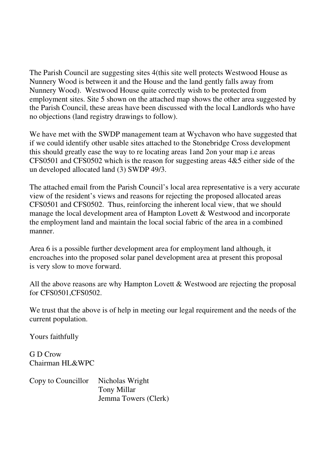The Parish Council are suggesting sites 4(this site well protects Westwood House as Nunnery Wood is between it and the House and the land gently falls away from Nunnery Wood). Westwood House quite correctly wish to be protected from employment sites. Site 5 shown on the attached map shows the other area suggested by the Parish Council, these areas have been discussed with the local Landlords who have no objections (land registry drawings to follow).

We have met with the SWDP management team at Wychavon who have suggested that if we could identify other usable sites attached to the Stonebridge Cross development this should greatly ease the way to re locating areas 1and 2on your map i.e areas CFS0501 and CFS0502 which is the reason for suggesting areas 4&5 either side of the un developed allocated land (3) SWDP 49/3.

The attached email from the Parish Council's local area representative is a very accurate view of the resident's views and reasons for rejecting the proposed allocated areas CFS0501 and CFS0502. Thus, reinforcing the inherent local view, that we should manage the local development area of Hampton Lovett & Westwood and incorporate the employment land and maintain the local social fabric of the area in a combined manner.

Area 6 is a possible further development area for employment land although, it encroaches into the proposed solar panel development area at present this proposal is very slow to move forward.

All the above reasons are why Hampton Lovett & Westwood are rejecting the proposal for CFS0501,CFS0502.

We trust that the above is of help in meeting our legal requirement and the needs of the current population.

Yours faithfully

G D Crow Chairman HL&WPC

Copy to Councillor Nicholas Wright Tony Millar Jemma Towers (Clerk)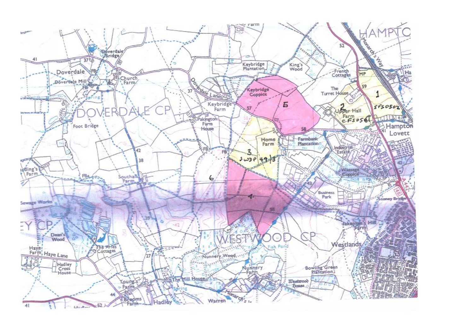